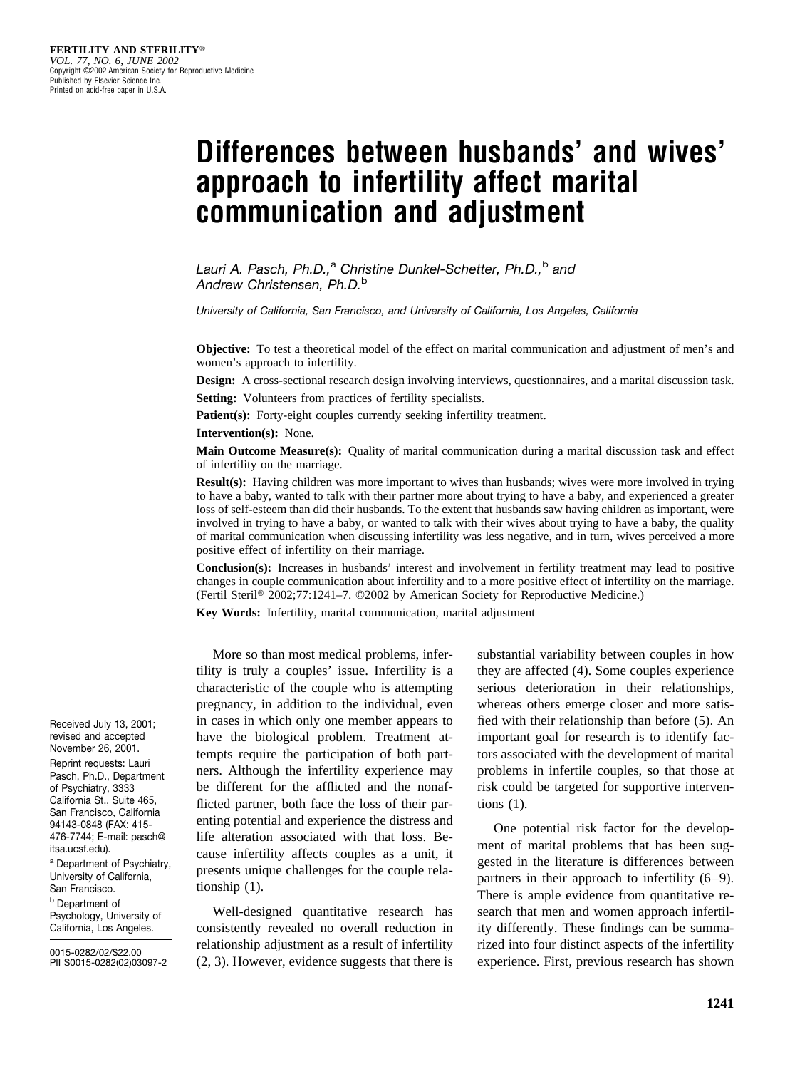# **Differences between husbands' and wives' approach to infertility affect marital communication and adjustment**

*Lauri A. Pasch, Ph.D.,*<sup>a</sup> *Christine Dunkel-Schetter, Ph.D.,*<sup>b</sup> *and Andrew Christensen, Ph.D.*<sup>b</sup>

*University of California, San Francisco, and University of California, Los Angeles, California*

**Objective:** To test a theoretical model of the effect on marital communication and adjustment of men's and women's approach to infertility.

**Design:** A cross-sectional research design involving interviews, questionnaires, and a marital discussion task. **Setting:** Volunteers from practices of fertility specialists.

**Patient(s):** Forty-eight couples currently seeking infertility treatment.

**Intervention(s):** None.

**Main Outcome Measure(s):** Quality of marital communication during a marital discussion task and effect of infertility on the marriage.

**Result(s):** Having children was more important to wives than husbands; wives were more involved in trying to have a baby, wanted to talk with their partner more about trying to have a baby, and experienced a greater loss of self-esteem than did their husbands. To the extent that husbands saw having children as important, were involved in trying to have a baby, or wanted to talk with their wives about trying to have a baby, the quality of marital communication when discussing infertility was less negative, and in turn, wives perceived a more positive effect of infertility on their marriage.

**Conclusion(s):** Increases in husbands' interest and involvement in fertility treatment may lead to positive changes in couple communication about infertility and to a more positive effect of infertility on the marriage. (Fertil Steril<sup>®</sup> 2002;77:1241–7. ©2002 by American Society for Reproductive Medicine.)

**Key Words:** Infertility, marital communication, marital adjustment

More so than most medical problems, infer-

tility is truly a couples' issue. Infertility is a characteristic of the couple who is attempting pregnancy, in addition to the individual, even in cases in which only one member appears to have the biological problem. Treatment attempts require the participation of both partners. Although the infertility experience may be different for the afflicted and the nonafflicted partner, both face the loss of their parenting potential and experience the distress and life alteration associated with that loss. Because infertility affects couples as a unit, it presents unique challenges for the couple relationship (1).

Well-designed quantitative research has consistently revealed no overall reduction in relationship adjustment as a result of infertility (2, 3). However, evidence suggests that there is substantial variability between couples in how they are affected (4). Some couples experience serious deterioration in their relationships, whereas others emerge closer and more satisfied with their relationship than before (5). An important goal for research is to identify factors associated with the development of marital problems in infertile couples, so that those at risk could be targeted for supportive interventions (1).

One potential risk factor for the development of marital problems that has been suggested in the literature is differences between partners in their approach to infertility (6–9). There is ample evidence from quantitative research that men and women approach infertility differently. These findings can be summarized into four distinct aspects of the infertility experience. First, previous research has shown

Received July 13, 2001; revised and accepted November 26, 2001.

Reprint requests: Lauri Pasch, Ph.D., Department of Psychiatry, 3333 California St., Suite 465, San Francisco, California 94143-0848 (FAX: 415- 476-7744; E-mail: pasch@ itsa.ucsf.edu).

<sup>a</sup> Department of Psychiatry, University of California, San Francisco. <sup>b</sup> Department of

Psychology, University of California, Los Angeles.

0015-0282/02/\$22.00 PII S0015-0282(02)03097-2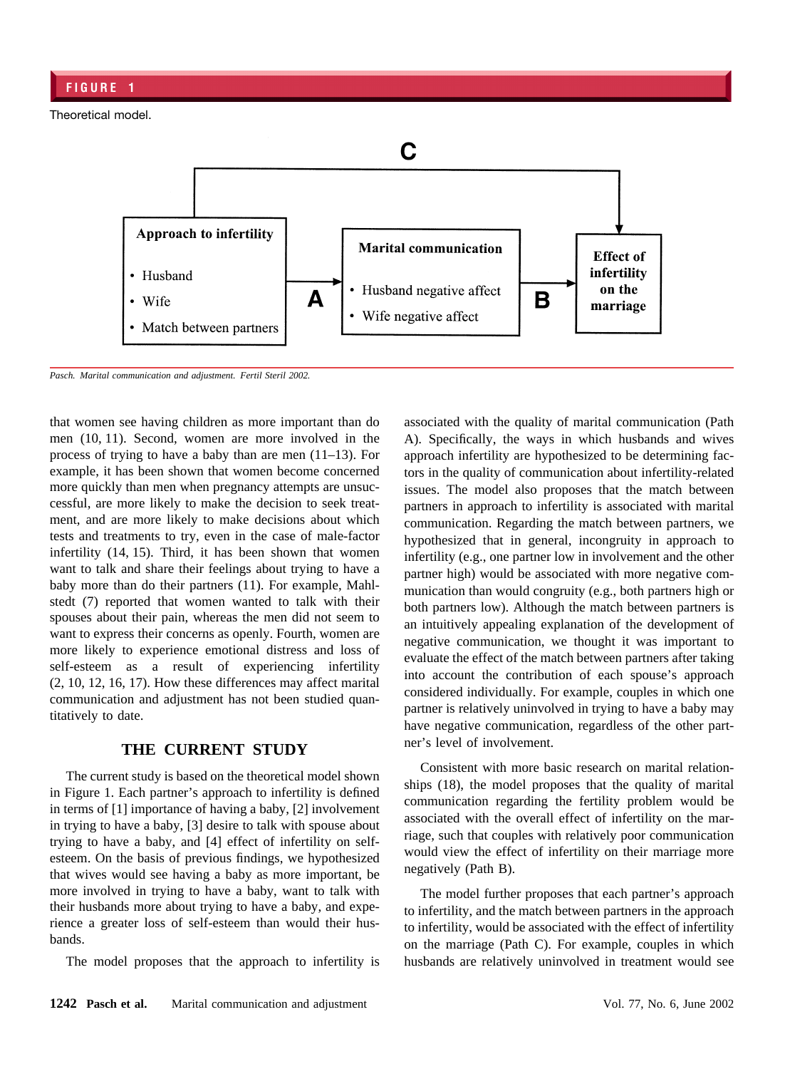Theoretical model.



*Pasch. Marital communication and adjustment. Fertil Steril 2002.*

that women see having children as more important than do men (10, 11). Second, women are more involved in the process of trying to have a baby than are men (11–13). For example, it has been shown that women become concerned more quickly than men when pregnancy attempts are unsuccessful, are more likely to make the decision to seek treatment, and are more likely to make decisions about which tests and treatments to try, even in the case of male-factor infertility (14, 15). Third, it has been shown that women want to talk and share their feelings about trying to have a baby more than do their partners (11). For example, Mahlstedt (7) reported that women wanted to talk with their spouses about their pain, whereas the men did not seem to want to express their concerns as openly. Fourth, women are more likely to experience emotional distress and loss of self-esteem as a result of experiencing infertility (2, 10, 12, 16, 17). How these differences may affect marital communication and adjustment has not been studied quantitatively to date.

## **THE CURRENT STUDY**

The current study is based on the theoretical model shown in Figure 1. Each partner's approach to infertility is defined in terms of [1] importance of having a baby, [2] involvement in trying to have a baby, [3] desire to talk with spouse about trying to have a baby, and [4] effect of infertility on selfesteem. On the basis of previous findings, we hypothesized that wives would see having a baby as more important, be more involved in trying to have a baby, want to talk with their husbands more about trying to have a baby, and experience a greater loss of self-esteem than would their husbands.

The model proposes that the approach to infertility is

associated with the quality of marital communication (Path A). Specifically, the ways in which husbands and wives approach infertility are hypothesized to be determining factors in the quality of communication about infertility-related issues. The model also proposes that the match between partners in approach to infertility is associated with marital communication. Regarding the match between partners, we hypothesized that in general, incongruity in approach to infertility (e.g., one partner low in involvement and the other partner high) would be associated with more negative communication than would congruity (e.g., both partners high or both partners low). Although the match between partners is an intuitively appealing explanation of the development of negative communication, we thought it was important to evaluate the effect of the match between partners after taking into account the contribution of each spouse's approach considered individually. For example, couples in which one partner is relatively uninvolved in trying to have a baby may have negative communication, regardless of the other partner's level of involvement.

Consistent with more basic research on marital relationships (18), the model proposes that the quality of marital communication regarding the fertility problem would be associated with the overall effect of infertility on the marriage, such that couples with relatively poor communication would view the effect of infertility on their marriage more negatively (Path B).

The model further proposes that each partner's approach to infertility, and the match between partners in the approach to infertility, would be associated with the effect of infertility on the marriage (Path C). For example, couples in which husbands are relatively uninvolved in treatment would see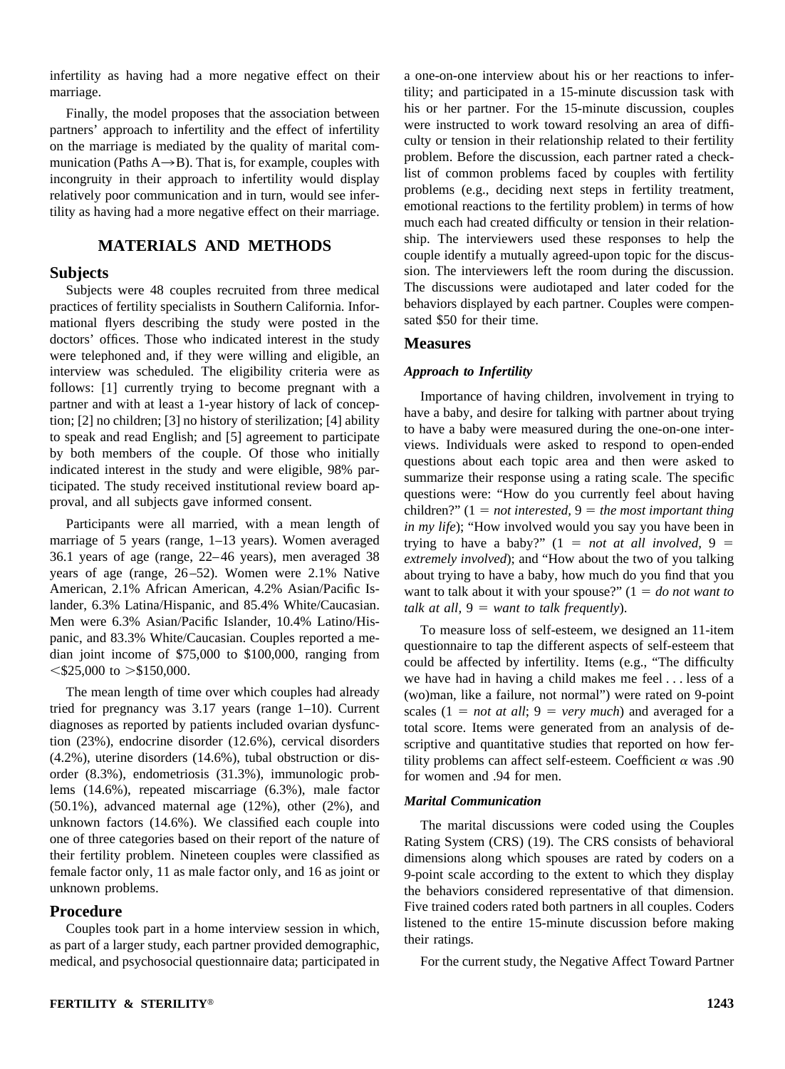infertility as having had a more negative effect on their marriage.

Finally, the model proposes that the association between partners' approach to infertility and the effect of infertility on the marriage is mediated by the quality of marital communication (Paths  $A \rightarrow B$ ). That is, for example, couples with incongruity in their approach to infertility would display relatively poor communication and in turn, would see infertility as having had a more negative effect on their marriage.

## **MATERIALS AND METHODS**

## **Subjects**

Subjects were 48 couples recruited from three medical practices of fertility specialists in Southern California. Informational flyers describing the study were posted in the doctors' offices. Those who indicated interest in the study were telephoned and, if they were willing and eligible, an interview was scheduled. The eligibility criteria were as follows: [1] currently trying to become pregnant with a partner and with at least a 1-year history of lack of conception; [2] no children; [3] no history of sterilization; [4] ability to speak and read English; and [5] agreement to participate by both members of the couple. Of those who initially indicated interest in the study and were eligible, 98% participated. The study received institutional review board approval, and all subjects gave informed consent.

Participants were all married, with a mean length of marriage of 5 years (range, 1–13 years). Women averaged 36.1 years of age (range, 22–46 years), men averaged 38 years of age (range, 26–52). Women were 2.1% Native American, 2.1% African American, 4.2% Asian/Pacific Islander, 6.3% Latina/Hispanic, and 85.4% White/Caucasian. Men were 6.3% Asian/Pacific Islander, 10.4% Latino/Hispanic, and 83.3% White/Caucasian. Couples reported a median joint income of \$75,000 to \$100,000, ranging from  $\leq$ \$25,000 to  $>$ \$150,000.

The mean length of time over which couples had already tried for pregnancy was 3.17 years (range 1–10). Current diagnoses as reported by patients included ovarian dysfunction (23%), endocrine disorder (12.6%), cervical disorders (4.2%), uterine disorders (14.6%), tubal obstruction or disorder (8.3%), endometriosis (31.3%), immunologic problems (14.6%), repeated miscarriage (6.3%), male factor (50.1%), advanced maternal age (12%), other (2%), and unknown factors (14.6%). We classified each couple into one of three categories based on their report of the nature of their fertility problem. Nineteen couples were classified as female factor only, 11 as male factor only, and 16 as joint or unknown problems.

## **Procedure**

Couples took part in a home interview session in which, as part of a larger study, each partner provided demographic, medical, and psychosocial questionnaire data; participated in a one-on-one interview about his or her reactions to infertility; and participated in a 15-minute discussion task with his or her partner. For the 15-minute discussion, couples were instructed to work toward resolving an area of difficulty or tension in their relationship related to their fertility problem. Before the discussion, each partner rated a checklist of common problems faced by couples with fertility problems (e.g., deciding next steps in fertility treatment, emotional reactions to the fertility problem) in terms of how much each had created difficulty or tension in their relationship. The interviewers used these responses to help the couple identify a mutually agreed-upon topic for the discussion. The interviewers left the room during the discussion. The discussions were audiotaped and later coded for the behaviors displayed by each partner. Couples were compensated \$50 for their time.

#### **Measures**

#### *Approach to Infertility*

Importance of having children, involvement in trying to have a baby, and desire for talking with partner about trying to have a baby were measured during the one-on-one interviews. Individuals were asked to respond to open-ended questions about each topic area and then were asked to summarize their response using a rating scale. The specific questions were: "How do you currently feel about having children?"  $(1 = not interested, 9 = the most important thing)$ *in my life*); "How involved would you say you have been in trying to have a baby?"  $(1 = not at all involved, 9 =$ *extremely involved*); and "How about the two of you talking about trying to have a baby, how much do you find that you want to talk about it with your spouse?"  $(1 = do not want to$ *talk at all,*  $9 =$  *want to talk frequently*).

To measure loss of self-esteem, we designed an 11-item questionnaire to tap the different aspects of self-esteem that could be affected by infertility. Items (e.g., "The difficulty we have had in having a child makes me feel... less of a (wo)man, like a failure, not normal") were rated on 9-point scales  $(1 = not at all; 9 = very much)$  and averaged for a total score. Items were generated from an analysis of descriptive and quantitative studies that reported on how fertility problems can affect self-esteem. Coefficient  $\alpha$  was .90 for women and .94 for men.

#### *Marital Communication*

The marital discussions were coded using the Couples Rating System (CRS) (19). The CRS consists of behavioral dimensions along which spouses are rated by coders on a 9-point scale according to the extent to which they display the behaviors considered representative of that dimension. Five trained coders rated both partners in all couples. Coders listened to the entire 15-minute discussion before making their ratings.

For the current study, the Negative Affect Toward Partner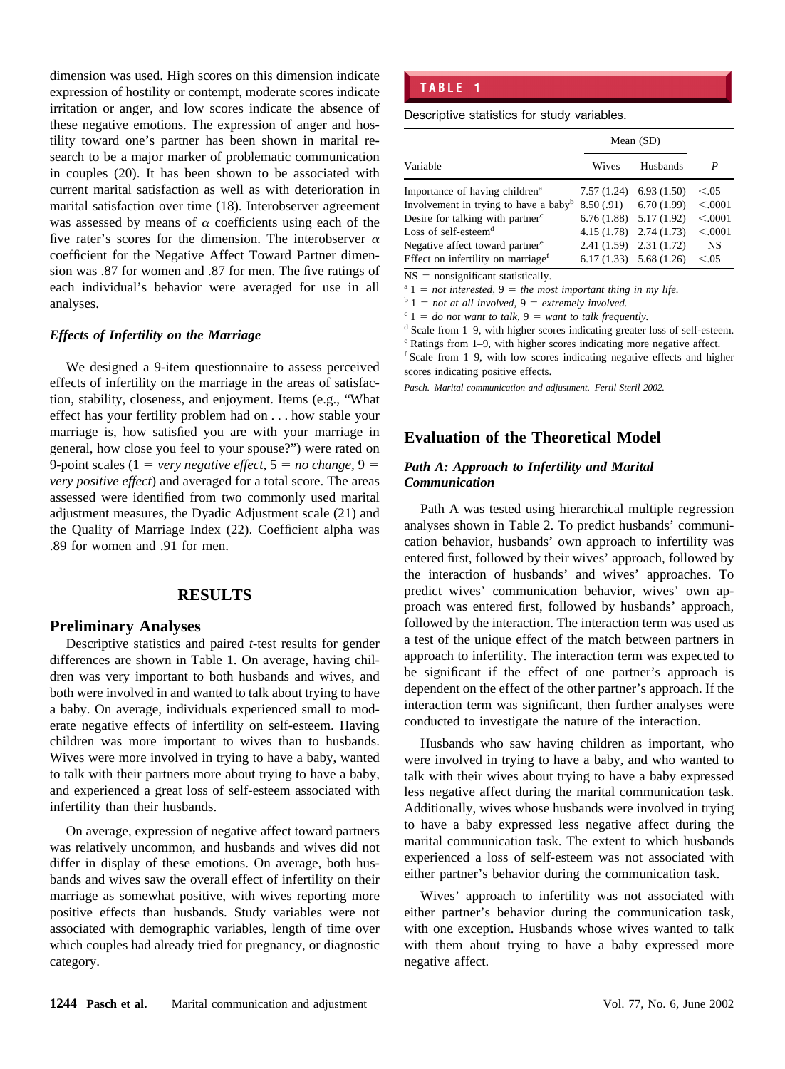dimension was used. High scores on this dimension indicate expression of hostility or contempt, moderate scores indicate irritation or anger, and low scores indicate the absence of these negative emotions. The expression of anger and hostility toward one's partner has been shown in marital research to be a major marker of problematic communication in couples (20). It has been shown to be associated with current marital satisfaction as well as with deterioration in marital satisfaction over time (18). Interobserver agreement was assessed by means of  $\alpha$  coefficients using each of the five rater's scores for the dimension. The interobserver  $\alpha$ coefficient for the Negative Affect Toward Partner dimension was .87 for women and .87 for men. The five ratings of each individual's behavior were averaged for use in all analyses.

#### *Effects of Infertility on the Marriage*

We designed a 9-item questionnaire to assess perceived effects of infertility on the marriage in the areas of satisfaction, stability, closeness, and enjoyment. Items (e.g., "What effect has your fertility problem had on . . . how stable your marriage is, how satisfied you are with your marriage in general, how close you feel to your spouse?") were rated on 9-point scales ( $1 = \text{very negative effect}, 5 = \text{no change}, 9 = \text{...}$ *very positive effect*) and averaged for a total score. The areas assessed were identified from two commonly used marital adjustment measures, the Dyadic Adjustment scale (21) and the Quality of Marriage Index (22). Coefficient alpha was .89 for women and .91 for men.

## **RESULTS**

#### **Preliminary Analyses**

Descriptive statistics and paired *t*-test results for gender differences are shown in Table 1. On average, having children was very important to both husbands and wives, and both were involved in and wanted to talk about trying to have a baby. On average, individuals experienced small to moderate negative effects of infertility on self-esteem. Having children was more important to wives than to husbands. Wives were more involved in trying to have a baby, wanted to talk with their partners more about trying to have a baby, and experienced a great loss of self-esteem associated with infertility than their husbands.

On average, expression of negative affect toward partners was relatively uncommon, and husbands and wives did not differ in display of these emotions. On average, both husbands and wives saw the overall effect of infertility on their marriage as somewhat positive, with wives reporting more positive effects than husbands. Study variables were not associated with demographic variables, length of time over which couples had already tried for pregnancy, or diagnostic category.

#### **TABLE 1**

Descriptive statistics for study variables.

|                                                   |                           | Mean (SD)                 |           |  |  |
|---------------------------------------------------|---------------------------|---------------------------|-----------|--|--|
| Variable                                          | Wives                     | Husbands                  | P         |  |  |
| Importance of having children <sup>a</sup>        |                           | $7.57(1.24)$ 6.93 (1.50)  | < 0.05    |  |  |
| Involvement in trying to have a baby <sup>b</sup> | 8.50(.91)                 | 6.70(1.99)                | < .0001   |  |  |
| Desire for talking with partner <sup>c</sup>      |                           | $6.76(1.88)$ $5.17(1.92)$ | < .0001   |  |  |
| Loss of self-esteem <sup>d</sup>                  |                           | $4.15(1.78)$ $2.74(1.73)$ | < 0.0001  |  |  |
| Negative affect toward partner <sup>e</sup>       | $2.41(1.59)$ $2.31(1.72)$ |                           | <b>NS</b> |  |  |
| Effect on infertility on marriage <sup>f</sup>    |                           | $6.17(1.33)$ $5.68(1.26)$ | < 0.05    |  |  |

 $NS =$  nonsignificant statistically.

 $a^2$  1 = *not interested,* 9 = *the most important thing in my life.* 

 $b$  1 = not at all involved, 9 = extremely involved.

 $c = 1$  *i do not want to talk,* 9 *= want to talk frequently.* 

<sup>d</sup> Scale from 1–9, with higher scores indicating greater loss of self-esteem.

<sup>e</sup> Ratings from 1–9, with higher scores indicating more negative affect. <sup>f</sup> Scale from 1–9, with low scores indicating negative effects and higher scores indicating positive effects.

*Pasch. Marital communication and adjustment. Fertil Steril 2002.*

## **Evaluation of the Theoretical Model**

#### *Path A: Approach to Infertility and Marital Communication*

Path A was tested using hierarchical multiple regression analyses shown in Table 2. To predict husbands' communication behavior, husbands' own approach to infertility was entered first, followed by their wives' approach, followed by the interaction of husbands' and wives' approaches. To predict wives' communication behavior, wives' own approach was entered first, followed by husbands' approach, followed by the interaction. The interaction term was used as a test of the unique effect of the match between partners in approach to infertility. The interaction term was expected to be significant if the effect of one partner's approach is dependent on the effect of the other partner's approach. If the interaction term was significant, then further analyses were conducted to investigate the nature of the interaction.

Husbands who saw having children as important, who were involved in trying to have a baby, and who wanted to talk with their wives about trying to have a baby expressed less negative affect during the marital communication task. Additionally, wives whose husbands were involved in trying to have a baby expressed less negative affect during the marital communication task. The extent to which husbands experienced a loss of self-esteem was not associated with either partner's behavior during the communication task.

Wives' approach to infertility was not associated with either partner's behavior during the communication task, with one exception. Husbands whose wives wanted to talk with them about trying to have a baby expressed more negative affect.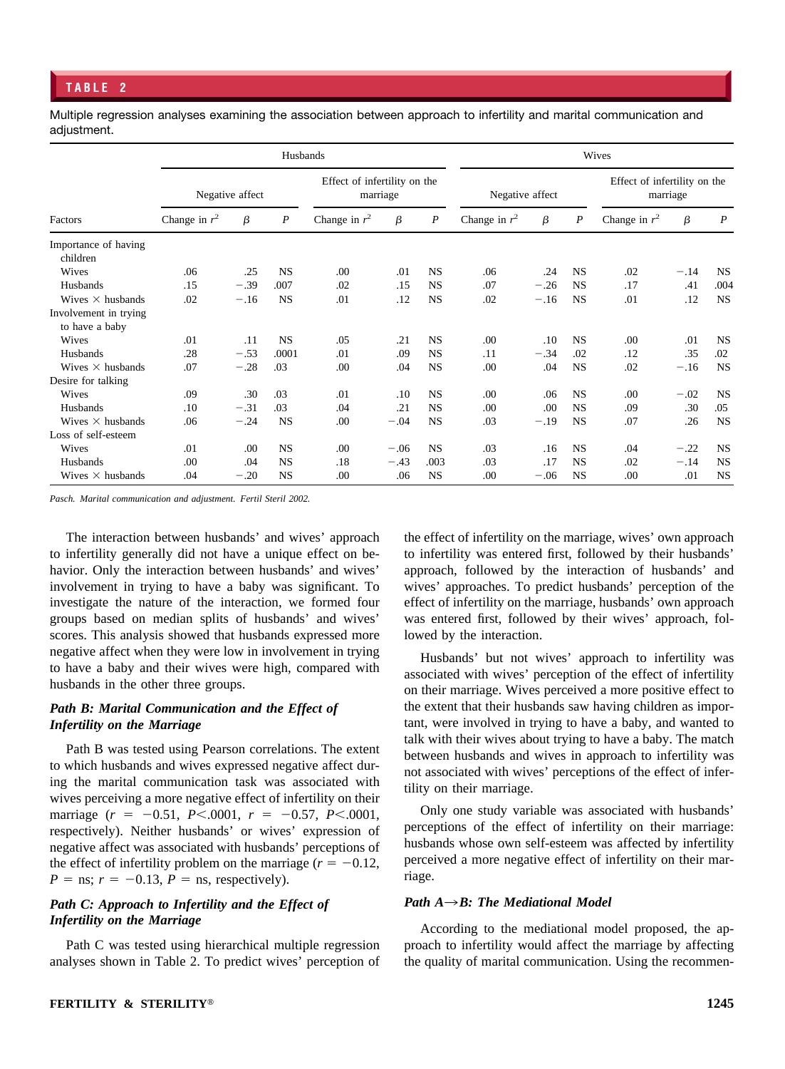## **TABLE 2**

Multiple regression analyses examining the association between approach to infertility and marital communication and adjustment.

| Factors                                 | Husbands        |        |           |                                          |        | Wives            |                 |        |                                          |                 |        |           |
|-----------------------------------------|-----------------|--------|-----------|------------------------------------------|--------|------------------|-----------------|--------|------------------------------------------|-----------------|--------|-----------|
|                                         | Negative affect |        |           | Effect of infertility on the<br>marriage |        | Negative affect  |                 |        | Effect of infertility on the<br>marriage |                 |        |           |
|                                         | Change in $r^2$ | β      | P         | Change in $r^2$                          | β      | $\boldsymbol{P}$ | Change in $r^2$ | β      | P                                        | Change in $r^2$ | β      | P         |
| Importance of having<br>children        |                 |        |           |                                          |        |                  |                 |        |                                          |                 |        |           |
| Wives                                   | .06             | .25    | <b>NS</b> | .00                                      | .01    | <b>NS</b>        | .06             | .24    | <b>NS</b>                                | .02             | $-.14$ | <b>NS</b> |
| Husbands                                | .15             | $-.39$ | .007      | .02                                      | .15    | <b>NS</b>        | .07             | $-.26$ | <b>NS</b>                                | .17             | .41    | .004      |
| Wives $\times$ husbands                 | .02             | $-.16$ | <b>NS</b> | .01                                      | .12    | <b>NS</b>        | .02             | $-.16$ | <b>NS</b>                                | .01             | .12    | <b>NS</b> |
| Involvement in trying<br>to have a baby |                 |        |           |                                          |        |                  |                 |        |                                          |                 |        |           |
| Wives                                   | .01             | .11    | <b>NS</b> | .05                                      | .21    | <b>NS</b>        | .00             | .10    | <b>NS</b>                                | .00             | .01    | <b>NS</b> |
| Husbands                                | .28             | $-.53$ | .0001     | .01                                      | .09    | <b>NS</b>        | .11             | $-.34$ | .02                                      | .12             | .35    | .02       |
| Wives $\times$ husbands                 | .07             | $-.28$ | .03       | .00                                      | .04    | <b>NS</b>        | .00             | .04    | <b>NS</b>                                | .02             | $-.16$ | <b>NS</b> |
| Desire for talking                      |                 |        |           |                                          |        |                  |                 |        |                                          |                 |        |           |
| Wives                                   | .09             | .30    | .03       | .01                                      | .10    | <b>NS</b>        | .00             | .06    | <b>NS</b>                                | .00             | $-.02$ | <b>NS</b> |
| Husbands                                | .10             | $-.31$ | .03       | .04                                      | .21    | <b>NS</b>        | .00             | .00    | <b>NS</b>                                | .09             | .30    | .05       |
| Wives $\times$ husbands                 | .06             | $-.24$ | <b>NS</b> | .00                                      | $-.04$ | <b>NS</b>        | .03             | $-.19$ | <b>NS</b>                                | .07             | .26    | <b>NS</b> |
| Loss of self-esteem                     |                 |        |           |                                          |        |                  |                 |        |                                          |                 |        |           |
| Wives                                   | .01             | .00    | <b>NS</b> | .00                                      | $-.06$ | <b>NS</b>        | .03             | .16    | <b>NS</b>                                | .04             | $-.22$ | <b>NS</b> |
| Husbands                                | .00             | .04    | <b>NS</b> | .18                                      | $-.43$ | .003             | .03             | .17    | <b>NS</b>                                | .02             | $-.14$ | <b>NS</b> |
| Wives $\times$ husbands                 | .04             | $-.20$ | <b>NS</b> | .00                                      | .06    | <b>NS</b>        | .00             | $-.06$ | <b>NS</b>                                | .00             | .01    | <b>NS</b> |

*Pasch. Marital communication and adjustment. Fertil Steril 2002.*

The interaction between husbands' and wives' approach to infertility generally did not have a unique effect on behavior. Only the interaction between husbands' and wives' involvement in trying to have a baby was significant. To investigate the nature of the interaction, we formed four groups based on median splits of husbands' and wives' scores. This analysis showed that husbands expressed more negative affect when they were low in involvement in trying to have a baby and their wives were high, compared with husbands in the other three groups.

## *Path B: Marital Communication and the Effect of Infertility on the Marriage*

Path B was tested using Pearson correlations. The extent to which husbands and wives expressed negative affect during the marital communication task was associated with wives perceiving a more negative effect of infertility on their marriage  $(r = -0.51, P < .0001, r = -0.57, P < .0001,$ respectively). Neither husbands' or wives' expression of negative affect was associated with husbands' perceptions of the effect of infertility problem on the marriage  $(r = -0.12,$  $P = \text{ns}; r = -0.13, P = \text{ns}$ , respectively).

## *Path C: Approach to Infertility and the Effect of Infertility on the Marriage*

Path C was tested using hierarchical multiple regression analyses shown in Table 2. To predict wives' perception of the effect of infertility on the marriage, wives' own approach to infertility was entered first, followed by their husbands' approach, followed by the interaction of husbands' and wives' approaches. To predict husbands' perception of the effect of infertility on the marriage, husbands' own approach was entered first, followed by their wives' approach, followed by the interaction.

Husbands' but not wives' approach to infertility was associated with wives' perception of the effect of infertility on their marriage. Wives perceived a more positive effect to the extent that their husbands saw having children as important, were involved in trying to have a baby, and wanted to talk with their wives about trying to have a baby. The match between husbands and wives in approach to infertility was not associated with wives' perceptions of the effect of infertility on their marriage.

Only one study variable was associated with husbands' perceptions of the effect of infertility on their marriage: husbands whose own self-esteem was affected by infertility perceived a more negative effect of infertility on their marriage.

### *Path A*3*B: The Mediational Model*

According to the mediational model proposed, the approach to infertility would affect the marriage by affecting the quality of marital communication. Using the recommen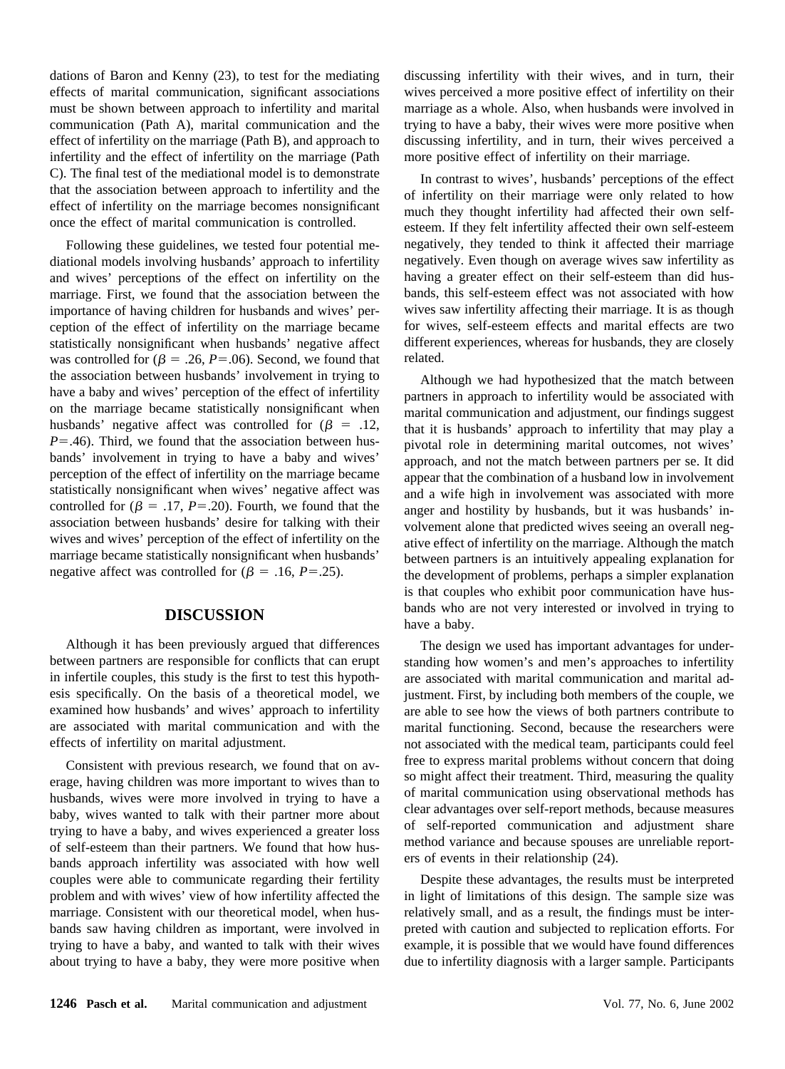dations of Baron and Kenny (23), to test for the mediating effects of marital communication, significant associations must be shown between approach to infertility and marital communication (Path A), marital communication and the effect of infertility on the marriage (Path B), and approach to infertility and the effect of infertility on the marriage (Path C). The final test of the mediational model is to demonstrate that the association between approach to infertility and the effect of infertility on the marriage becomes nonsignificant once the effect of marital communication is controlled.

Following these guidelines, we tested four potential mediational models involving husbands' approach to infertility and wives' perceptions of the effect on infertility on the marriage. First, we found that the association between the importance of having children for husbands and wives' perception of the effect of infertility on the marriage became statistically nonsignificant when husbands' negative affect was controlled for  $(\beta = .26, P = .06)$ . Second, we found that the association between husbands' involvement in trying to have a baby and wives' perception of the effect of infertility on the marriage became statistically nonsignificant when husbands' negative affect was controlled for  $(\beta = .12, )$  $P = .46$ ). Third, we found that the association between husbands' involvement in trying to have a baby and wives' perception of the effect of infertility on the marriage became statistically nonsignificant when wives' negative affect was controlled for  $(\beta = .17, P = .20)$ . Fourth, we found that the association between husbands' desire for talking with their wives and wives' perception of the effect of infertility on the marriage became statistically nonsignificant when husbands' negative affect was controlled for  $(\beta = .16, P = .25)$ .

## **DISCUSSION**

Although it has been previously argued that differences between partners are responsible for conflicts that can erupt in infertile couples, this study is the first to test this hypothesis specifically. On the basis of a theoretical model, we examined how husbands' and wives' approach to infertility are associated with marital communication and with the effects of infertility on marital adjustment.

Consistent with previous research, we found that on average, having children was more important to wives than to husbands, wives were more involved in trying to have a baby, wives wanted to talk with their partner more about trying to have a baby, and wives experienced a greater loss of self-esteem than their partners. We found that how husbands approach infertility was associated with how well couples were able to communicate regarding their fertility problem and with wives' view of how infertility affected the marriage. Consistent with our theoretical model, when husbands saw having children as important, were involved in trying to have a baby, and wanted to talk with their wives about trying to have a baby, they were more positive when

discussing infertility with their wives, and in turn, their wives perceived a more positive effect of infertility on their marriage as a whole. Also, when husbands were involved in trying to have a baby, their wives were more positive when discussing infertility, and in turn, their wives perceived a more positive effect of infertility on their marriage.

In contrast to wives', husbands' perceptions of the effect of infertility on their marriage were only related to how much they thought infertility had affected their own selfesteem. If they felt infertility affected their own self-esteem negatively, they tended to think it affected their marriage negatively. Even though on average wives saw infertility as having a greater effect on their self-esteem than did husbands, this self-esteem effect was not associated with how wives saw infertility affecting their marriage. It is as though for wives, self-esteem effects and marital effects are two different experiences, whereas for husbands, they are closely related.

Although we had hypothesized that the match between partners in approach to infertility would be associated with marital communication and adjustment, our findings suggest that it is husbands' approach to infertility that may play a pivotal role in determining marital outcomes, not wives' approach, and not the match between partners per se. It did appear that the combination of a husband low in involvement and a wife high in involvement was associated with more anger and hostility by husbands, but it was husbands' involvement alone that predicted wives seeing an overall negative effect of infertility on the marriage. Although the match between partners is an intuitively appealing explanation for the development of problems, perhaps a simpler explanation is that couples who exhibit poor communication have husbands who are not very interested or involved in trying to have a baby.

The design we used has important advantages for understanding how women's and men's approaches to infertility are associated with marital communication and marital adjustment. First, by including both members of the couple, we are able to see how the views of both partners contribute to marital functioning. Second, because the researchers were not associated with the medical team, participants could feel free to express marital problems without concern that doing so might affect their treatment. Third, measuring the quality of marital communication using observational methods has clear advantages over self-report methods, because measures of self-reported communication and adjustment share method variance and because spouses are unreliable reporters of events in their relationship (24).

Despite these advantages, the results must be interpreted in light of limitations of this design. The sample size was relatively small, and as a result, the findings must be interpreted with caution and subjected to replication efforts. For example, it is possible that we would have found differences due to infertility diagnosis with a larger sample. Participants